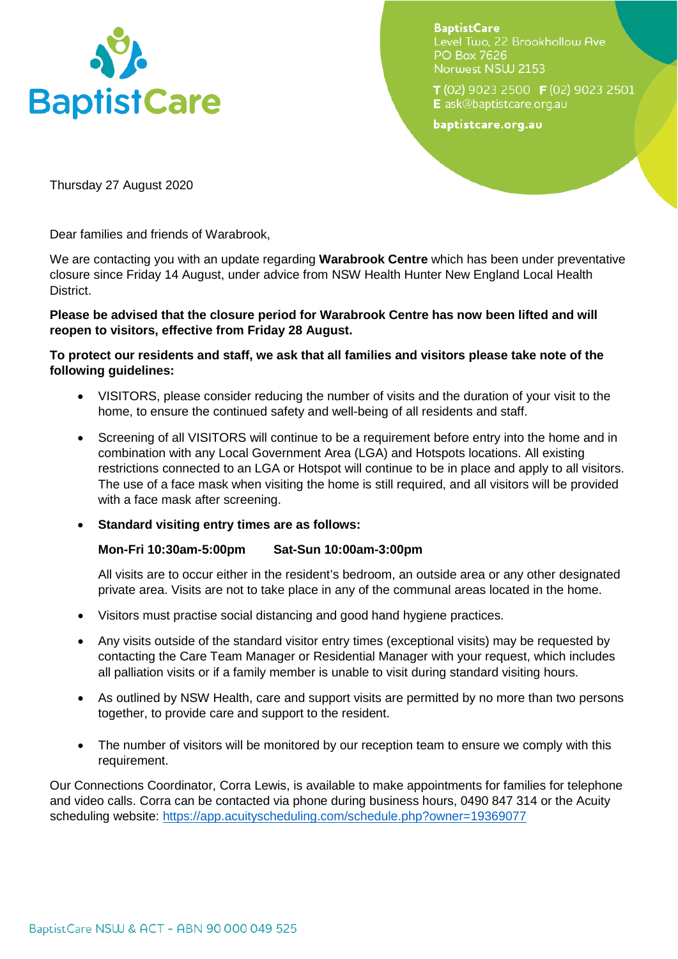

**BaptistCare** Level Two, 22 Brookhollow Ave **PO Box 7626** Norwest NSW 2153

T (02) 9023 2500 F (02) 9023 2501 E ask@baptistcare.org.au

baptistcare.org.au

Thursday 27 August 2020

Dear families and friends of Warabrook,

We are contacting you with an update regarding **Warabrook Centre** which has been under preventative closure since Friday 14 August, under advice from NSW Health Hunter New England Local Health District.

## **Please be advised that the closure period for Warabrook Centre has now been lifted and will reopen to visitors, effective from Friday 28 August.**

## **To protect our residents and staff, we ask that all families and visitors please take note of the following guidelines:**

- VISITORS, please consider reducing the number of visits and the duration of your visit to the home, to ensure the continued safety and well-being of all residents and staff.
- Screening of all VISITORS will continue to be a requirement before entry into the home and in combination with any Local Government Area (LGA) and Hotspots locations. All existing restrictions connected to an LGA or Hotspot will continue to be in place and apply to all visitors. The use of a face mask when visiting the home is still required, and all visitors will be provided with a face mask after screening.

## • **Standard visiting entry times are as follows:**

## **Mon-Fri 10:30am-5:00pm Sat-Sun 10:00am-3:00pm**

All visits are to occur either in the resident's bedroom, an outside area or any other designated private area. Visits are not to take place in any of the communal areas located in the home.

- Visitors must practise social distancing and good hand hygiene practices.
- Any visits outside of the standard visitor entry times (exceptional visits) may be requested by contacting the Care Team Manager or Residential Manager with your request, which includes all palliation visits or if a family member is unable to visit during standard visiting hours.
- As outlined by NSW Health, care and support visits are permitted by no more than two persons together, to provide care and support to the resident.
- The number of visitors will be monitored by our reception team to ensure we comply with this requirement.

Our Connections Coordinator, Corra Lewis, is available to make appointments for families for telephone and video calls. Corra can be contacted via phone during business hours, 0490 847 314 or the Acuity scheduling website:<https://app.acuityscheduling.com/schedule.php?owner=19369077>